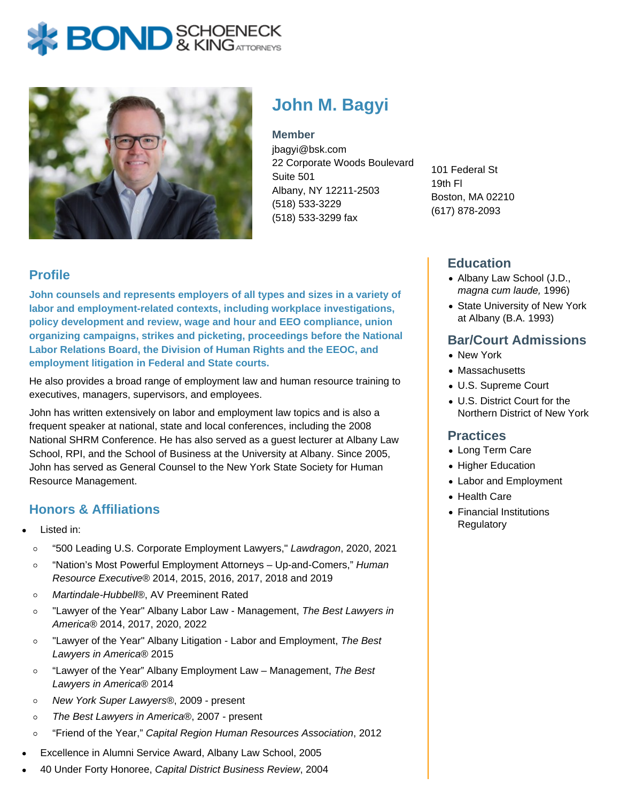# **BOND** & KING ATTORNECK



## **John M. Bagyi**

**Member**

jbagyi@bsk.com 22 Corporate Woods Boulevard Suite 501 Albany, NY 12211-2503 (518) 533-3229 (518) 533-3299 fax

101 Federal St 19th Fl Boston, MA 02210 (617) 878-2093

### **Education**

- Albany Law School (J.D., magna cum laude, 1996)
- State University of New York at Albany (B.A. 1993)

#### **Bar/Court Admissions**

- New York
- Massachusetts
- U.S. Supreme Court
- U.S. District Court for the Northern District of New York

#### **Practices**

- Long Term Care
- Higher Education
- Labor and Employment
- Health Care
- Financial Institutions **Regulatory**

#### **Profile**

**John counsels and represents employers of all types and sizes in a variety of labor and employment-related contexts, including workplace investigations, policy development and review, wage and hour and EEO compliance, union organizing campaigns, strikes and picketing, proceedings before the National Labor Relations Board, the Division of Human Rights and the EEOC, and employment litigation in Federal and State courts.**

He also provides a broad range of employment law and human resource training to executives, managers, supervisors, and employees.

John has written extensively on labor and employment law topics and is also a frequent speaker at national, state and local conferences, including the 2008 National SHRM Conference. He has also served as a guest lecturer at Albany Law School, RPI, and the School of Business at the University at Albany. Since 2005, John has served as General Counsel to the New York State Society for Human Resource Management.

#### **Honors & Affiliations**

- Listed in:
	- $\circ$ "500 Leading U.S. Corporate Employment Lawyers," Lawdragon, 2020, 2021
	- "Nation's Most Powerful Employment Attorneys Up-and-Comers," Human  $\circ$ Resource Executive® 2014, 2015, 2016, 2017, 2018 and 2019
	- Martindale-Hubbell®, AV Preeminent Rated  $\circ$
	- "Lawyer of the Year" Albany Labor Law Management, The Best Lawyers in  $\circ$ America® 2014, 2017, 2020, 2022
	- "Lawyer of the Year" Albany Litigation Labor and Employment, The Best  $\circ$ Lawyers in America® 2015
	- "Lawyer of the Year" Albany Employment Law Management, The Best  $\circ$ Lawyers in America® 2014
	- $\circ$ New York Super Lawyers®, 2009 - present
	- The Best Lawyers in America®, 2007 present  $\circ$
	- "Friend of the Year," Capital Region Human Resources Association, 2012  $\circ$
- Excellence in Alumni Service Award, Albany Law School, 2005
- 40 Under Forty Honoree, Capital District Business Review, 2004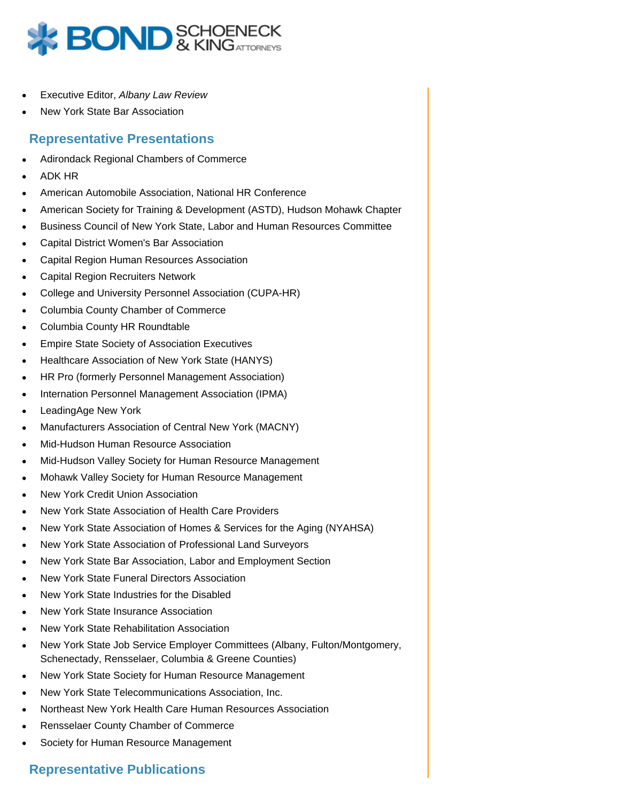

- Executive Editor, Albany Law Review
- New York State Bar Association

#### **Representative Presentations**

- Adirondack Regional Chambers of Commerce
- ADK HR
- American Automobile Association, National HR Conference
- American Society for Training & Development (ASTD), Hudson Mohawk Chapter
- Business Council of New York State, Labor and Human Resources Committee
- Capital District Women's Bar Association
- Capital Region Human Resources Association
- Capital Region Recruiters Network
- College and University Personnel Association (CUPA-HR)
- Columbia County Chamber of Commerce
- Columbia County HR Roundtable
- Empire State Society of Association Executives
- Healthcare Association of New York State (HANYS)
- HR Pro (formerly Personnel Management Association)
- Internation Personnel Management Association (IPMA)
- LeadingAge New York
- Manufacturers Association of Central New York (MACNY)
- Mid-Hudson Human Resource Association
- Mid-Hudson Valley Society for Human Resource Management
- Mohawk Valley Society for Human Resource Management
- New York Credit Union Association
- New York State Association of Health Care Providers
- New York State Association of Homes & Services for the Aging (NYAHSA)
- New York State Association of Professional Land Surveyors
- New York State Bar Association, Labor and Employment Section
- New York State Funeral Directors Association
- New York State Industries for the Disabled
- New York State Insurance Association
- New York State Rehabilitation Association
- New York State Job Service Employer Committees (Albany, Fulton/Montgomery, Schenectady, Rensselaer, Columbia & Greene Counties)
- New York State Society for Human Resource Management
- New York State Telecommunications Association, Inc.
- Northeast New York Health Care Human Resources Association
- Rensselaer County Chamber of Commerce
- Society for Human Resource Management

#### **Representative Publications**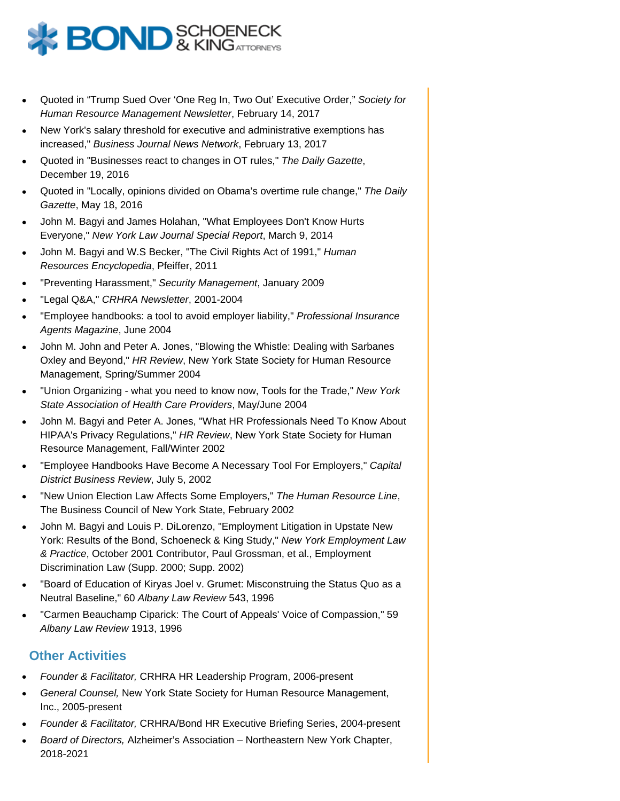

- Quoted in "Trump Sued Over 'One Reg In, Two Out' Executive Order," Society for Human Resource Management Newsletter, February 14, 2017
- New York's salary threshold for executive and administrative exemptions has increased," Business Journal News Network, February 13, 2017
- Quoted in "Businesses react to changes in OT rules," The Daily Gazette, December 19, 2016
- Quoted in "Locally, opinions divided on Obama's overtime rule change," The Daily Gazette, May 18, 2016
- John M. Bagyi and James Holahan, "What Employees Don't Know Hurts Everyone," New York Law Journal Special Report, March 9, 2014
- John M. Bagyi and W.S Becker, "The Civil Rights Act of 1991," Human Resources Encyclopedia, Pfeiffer, 2011
- "Preventing Harassment," Security Management, January 2009
- "Legal Q&A," CRHRA Newsletter, 2001-2004
- "Employee handbooks: a tool to avoid employer liability," Professional Insurance Agents Magazine, June 2004
- John M. John and Peter A. Jones, "Blowing the Whistle: Dealing with Sarbanes Oxley and Beyond," HR Review, New York State Society for Human Resource Management, Spring/Summer 2004
- "Union Organizing what you need to know now, Tools for the Trade," New York State Association of Health Care Providers, May/June 2004
- John M. Bagyi and Peter A. Jones, "What HR Professionals Need To Know About HIPAA's Privacy Regulations," HR Review, New York State Society for Human Resource Management, Fall/Winter 2002
- "Employee Handbooks Have Become A Necessary Tool For Employers," Capital District Business Review, July 5, 2002
- "New Union Election Law Affects Some Employers," The Human Resource Line, The Business Council of New York State, February 2002
- John M. Bagyi and Louis P. DiLorenzo, "Employment Litigation in Upstate New York: Results of the Bond, Schoeneck & King Study," New York Employment Law & Practice, October 2001 Contributor, Paul Grossman, et al., Employment Discrimination Law (Supp. 2000; Supp. 2002)
- "Board of Education of Kiryas Joel v. Grumet: Misconstruing the Status Quo as a Neutral Baseline," 60 Albany Law Review 543, 1996
- "Carmen Beauchamp Ciparick: The Court of Appeals' Voice of Compassion," 59 Albany Law Review 1913, 1996

#### **Other Activities**

- Founder & Facilitator, CRHRA HR Leadership Program, 2006-present
- General Counsel, New York State Society for Human Resource Management, Inc., 2005-present
- Founder & Facilitator, CRHRA/Bond HR Executive Briefing Series, 2004-present
- Board of Directors, Alzheimer's Association Northeastern New York Chapter, 2018-2021